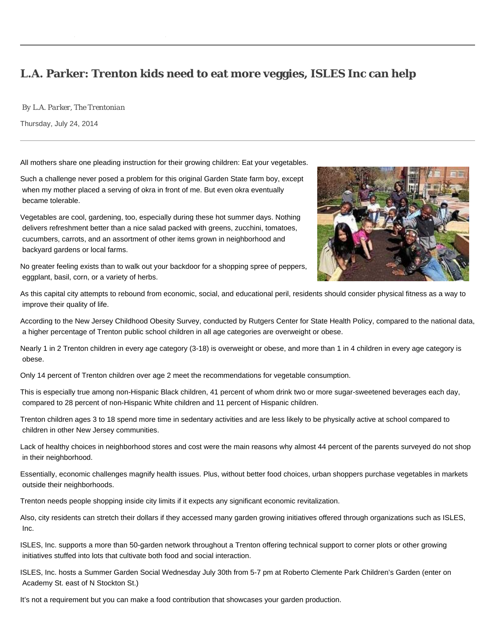## **L.A. Parker: Trenton kids need to eat more veggies, ISLES Inc can help**

*By L.A. Parker, The Trentonian*

Thursday, July 24, 2014

All mothers share one pleading instruction for their growing children: Eat your vegetables.

Such a challenge never posed a problem for this original Garden State farm boy, except when my mother placed a serving of okra in front of me. But even okra eventually became tolerable.

Vegetables are cool, gardening, too, especially during these hot summer days. Nothing delivers refreshment better than a nice salad packed with greens, zucchini, tomatoes, cucumbers, carrots, and an assortment of other items grown in neighborhood and backyard gardens or local farms.





As this capital city attempts to rebound from economic, social, and educational peril, residents should consider physical fitness as a way to improve their quality of life.

According to the New Jersey Childhood Obesity Survey, conducted by Rutgers Center for State Health Policy, compared to the national data, a higher percentage of Trenton public school children in all age categories are overweight or obese.

Nearly 1 in 2 Trenton children in every age category (3-18) is overweight or obese, and more than 1 in 4 children in every age category is obese.

Only 14 percent of Trenton children over age 2 meet the recommendations for vegetable consumption.

This is especially true among non-Hispanic Black children, 41 percent of whom drink two or more sugar-sweetened beverages each day, compared to 28 percent of non-Hispanic White children and 11 percent of Hispanic children.

Trenton children ages 3 to 18 spend more time in sedentary activities and are less likely to be physically active at school compared to children in other New Jersey communities.

Lack of healthy choices in neighborhood stores and cost were the main reasons why almost 44 percent of the parents surveyed do not shop in their neighborhood.

Essentially, economic challenges magnify health issues. Plus, without better food choices, urban shoppers purchase vegetables in markets outside their neighborhoods.

Trenton needs people shopping inside city limits if it expects any significant economic revitalization.

Also, city residents can stretch their dollars if they accessed many garden growing initiatives offered through organizations such as ISLES, Inc.

ISLES, Inc. supports a more than 50-garden network throughout a Trenton offering technical support to corner plots or other growing initiatives stuffed into lots that cultivate both food and social interaction.

ISLES, Inc. hosts a Summer Garden Social Wednesday July 30th from 5-7 pm at Roberto Clemente Park Children's Garden (enter on Academy St. east of N Stockton St.)

It's not a requirement but you can make a food contribution that showcases your garden production.